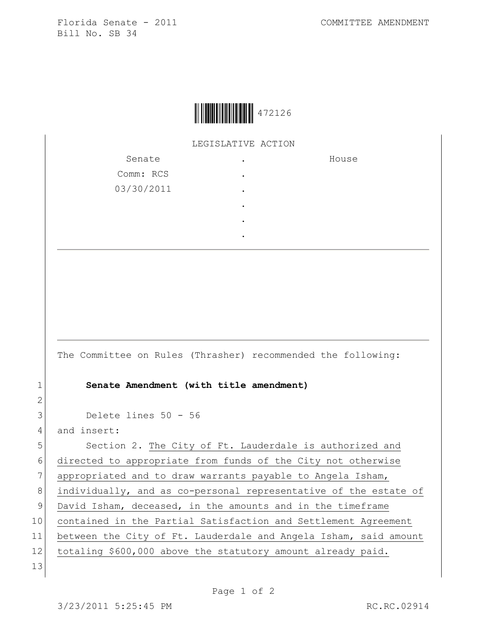

LEGISLATIVE ACTION

| Senate     |   | House |
|------------|---|-------|
| Comm: RCS  | ٠ |       |
| 03/30/2011 | ٠ |       |
|            | ٠ |       |
|            | ٠ |       |
|            | ٠ |       |

The Committee on Rules (Thrasher) recommended the following:

## 1 **Senate Amendment (with title amendment)**

3 Delete lines 50 - 56

4 and insert:

2

5 Section 2. The City of Ft. Lauderdale is authorized and 6 directed to appropriate from funds of the City not otherwise 7 appropriated and to draw warrants payable to Angela Isham, 8 individually, and as co-personal representative of the estate of 9 David Isham, deceased, in the amounts and in the timeframe 10 contained in the Partial Satisfaction and Settlement Agreement 11 between the City of Ft. Lauderdale and Angela Isham, said amount 12 totaling \$600,000 above the statutory amount already paid. 13